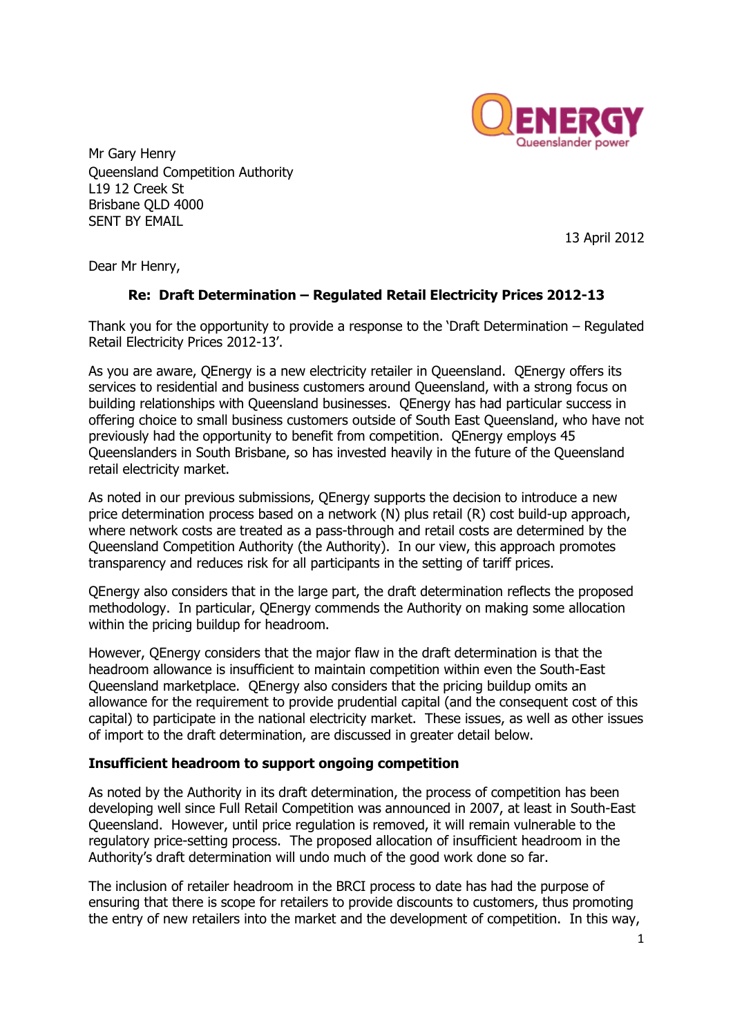

Mr Gary Henry Queensland Competition Authority L19 12 Creek St Brisbane QLD 4000 SENT BY EMAIL

13 April 2012

Dear Mr Henry,

## **Re: Draft Determination – Regulated Retail Electricity Prices 2012-13**

Thank you for the opportunity to provide a response to the 'Draft Determination – Regulated Retail Electricity Prices 2012-13'.

As you are aware, QEnergy is a new electricity retailer in Queensland. QEnergy offers its services to residential and business customers around Queensland, with a strong focus on building relationships with Queensland businesses. QEnergy has had particular success in offering choice to small business customers outside of South East Queensland, who have not previously had the opportunity to benefit from competition. QEnergy employs 45 Queenslanders in South Brisbane, so has invested heavily in the future of the Queensland retail electricity market.

As noted in our previous submissions, QEnergy supports the decision to introduce a new price determination process based on a network (N) plus retail (R) cost build-up approach, where network costs are treated as a pass-through and retail costs are determined by the Queensland Competition Authority (the Authority). In our view, this approach promotes transparency and reduces risk for all participants in the setting of tariff prices.

QEnergy also considers that in the large part, the draft determination reflects the proposed methodology. In particular, QEnergy commends the Authority on making some allocation within the pricing buildup for headroom.

However, QEnergy considers that the major flaw in the draft determination is that the headroom allowance is insufficient to maintain competition within even the South-East Queensland marketplace. QEnergy also considers that the pricing buildup omits an allowance for the requirement to provide prudential capital (and the consequent cost of this capital) to participate in the national electricity market. These issues, as well as other issues of import to the draft determination, are discussed in greater detail below.

#### **Insufficient headroom to support ongoing competition**

As noted by the Authority in its draft determination, the process of competition has been developing well since Full Retail Competition was announced in 2007, at least in South-East Queensland. However, until price regulation is removed, it will remain vulnerable to the regulatory price-setting process. The proposed allocation of insufficient headroom in the Authority's draft determination will undo much of the good work done so far.

The inclusion of retailer headroom in the BRCI process to date has had the purpose of ensuring that there is scope for retailers to provide discounts to customers, thus promoting the entry of new retailers into the market and the development of competition. In this way,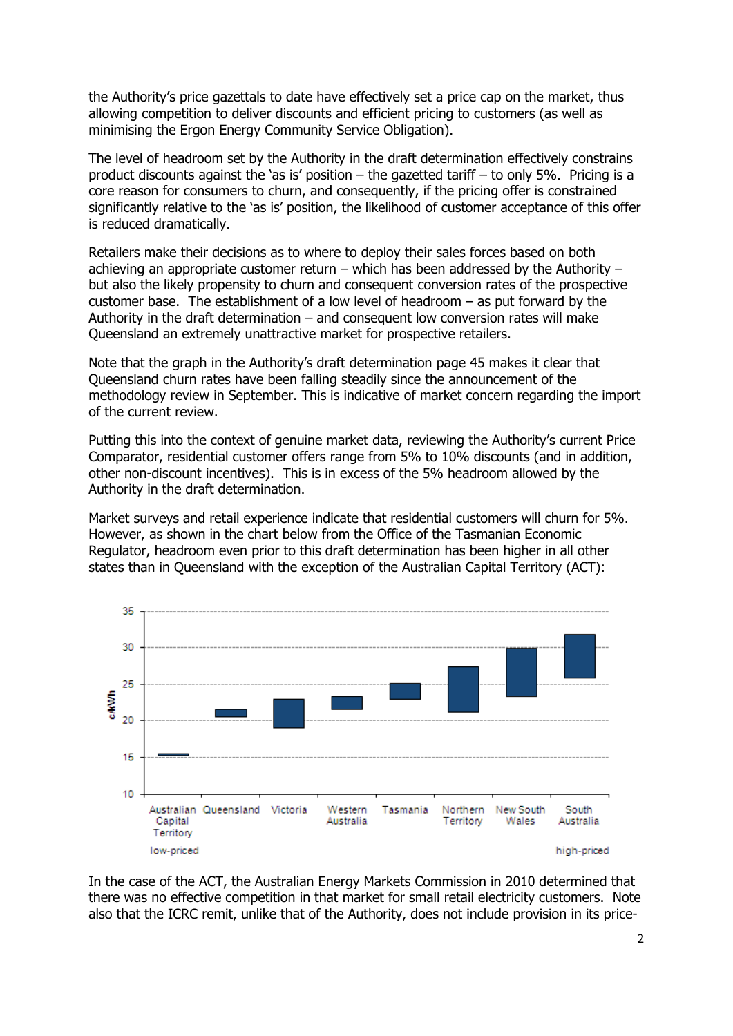the Authority's price gazettals to date have effectively set a price cap on the market, thus allowing competition to deliver discounts and efficient pricing to customers (as well as minimising the Ergon Energy Community Service Obligation).

The level of headroom set by the Authority in the draft determination effectively constrains product discounts against the 'as is' position – the gazetted tariff – to only 5%. Pricing is a core reason for consumers to churn, and consequently, if the pricing offer is constrained significantly relative to the 'as is' position, the likelihood of customer acceptance of this offer is reduced dramatically.

Retailers make their decisions as to where to deploy their sales forces based on both achieving an appropriate customer return – which has been addressed by the Authority – but also the likely propensity to churn and consequent conversion rates of the prospective customer base. The establishment of a low level of headroom – as put forward by the Authority in the draft determination – and consequent low conversion rates will make Queensland an extremely unattractive market for prospective retailers.

Note that the graph in the Authority's draft determination page 45 makes it clear that Queensland churn rates have been falling steadily since the announcement of the methodology review in September. This is indicative of market concern regarding the import of the current review.

Putting this into the context of genuine market data, reviewing the Authority's current Price Comparator, residential customer offers range from 5% to 10% discounts (and in addition, other non-discount incentives). This is in excess of the 5% headroom allowed by the Authority in the draft determination.

Market surveys and retail experience indicate that residential customers will churn for 5%. However, as shown in the chart below from the Office of the Tasmanian Economic Regulator, headroom even prior to this draft determination has been higher in all other states than in Queensland with the exception of the Australian Capital Territory (ACT):



In the case of the ACT, the Australian Energy Markets Commission in 2010 determined that there was no effective competition in that market for small retail electricity customers. Note also that the ICRC remit, unlike that of the Authority, does not include provision in its price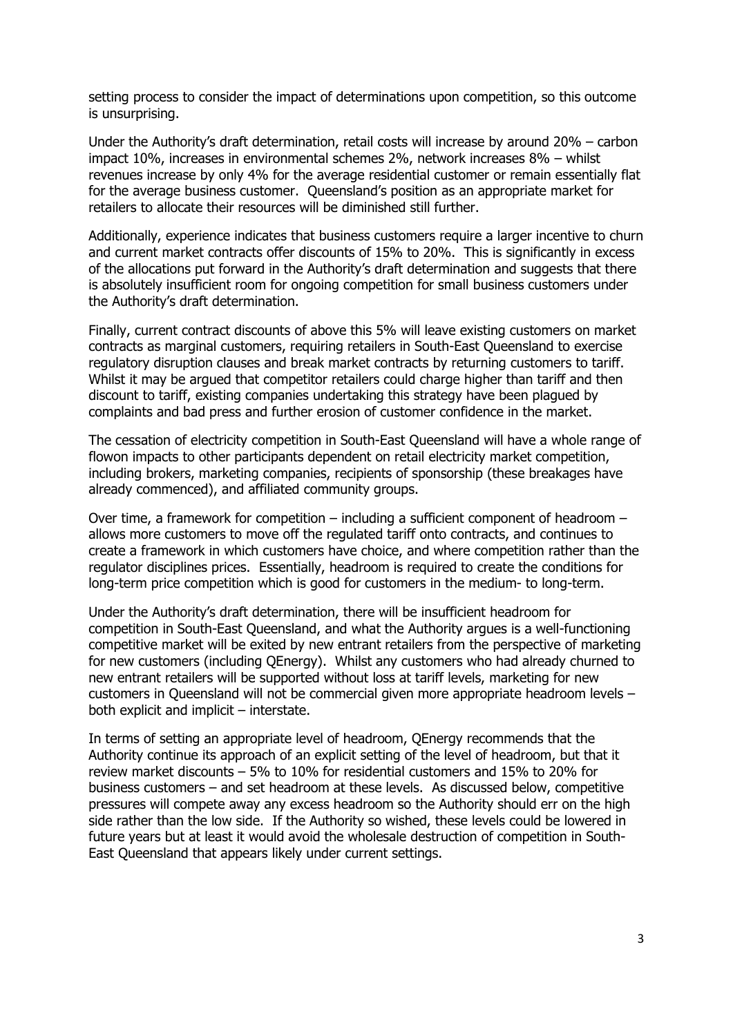setting process to consider the impact of determinations upon competition, so this outcome is unsurprising.

Under the Authority's draft determination, retail costs will increase by around 20% – carbon impact 10%, increases in environmental schemes 2%, network increases 8% – whilst revenues increase by only 4% for the average residential customer or remain essentially flat for the average business customer. Queensland's position as an appropriate market for retailers to allocate their resources will be diminished still further.

Additionally, experience indicates that business customers require a larger incentive to churn and current market contracts offer discounts of 15% to 20%. This is significantly in excess of the allocations put forward in the Authority's draft determination and suggests that there is absolutely insufficient room for ongoing competition for small business customers under the Authority's draft determination.

Finally, current contract discounts of above this 5% will leave existing customers on market contracts as marginal customers, requiring retailers in South-East Queensland to exercise regulatory disruption clauses and break market contracts by returning customers to tariff. Whilst it may be argued that competitor retailers could charge higher than tariff and then discount to tariff, existing companies undertaking this strategy have been plagued by complaints and bad press and further erosion of customer confidence in the market.

The cessation of electricity competition in South-East Queensland will have a whole range of flowon impacts to other participants dependent on retail electricity market competition, including brokers, marketing companies, recipients of sponsorship (these breakages have already commenced), and affiliated community groups.

Over time, a framework for competition – including a sufficient component of headroom – allows more customers to move off the regulated tariff onto contracts, and continues to create a framework in which customers have choice, and where competition rather than the regulator disciplines prices. Essentially, headroom is required to create the conditions for long-term price competition which is good for customers in the medium- to long-term.

Under the Authority's draft determination, there will be insufficient headroom for competition in South-East Queensland, and what the Authority argues is a well-functioning competitive market will be exited by new entrant retailers from the perspective of marketing for new customers (including QEnergy). Whilst any customers who had already churned to new entrant retailers will be supported without loss at tariff levels, marketing for new customers in Queensland will not be commercial given more appropriate headroom levels – both explicit and implicit – interstate.

In terms of setting an appropriate level of headroom, QEnergy recommends that the Authority continue its approach of an explicit setting of the level of headroom, but that it review market discounts – 5% to 10% for residential customers and 15% to 20% for business customers – and set headroom at these levels. As discussed below, competitive pressures will compete away any excess headroom so the Authority should err on the high side rather than the low side. If the Authority so wished, these levels could be lowered in future years but at least it would avoid the wholesale destruction of competition in South-East Queensland that appears likely under current settings.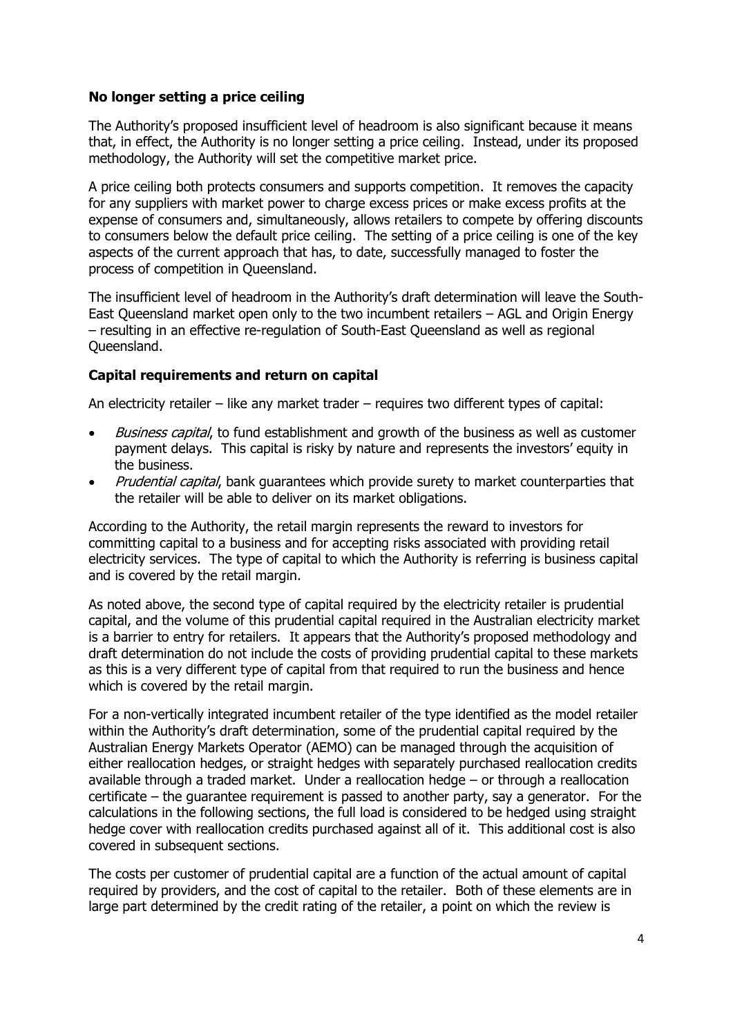## **No longer setting a price ceiling**

The Authority's proposed insufficient level of headroom is also significant because it means that, in effect, the Authority is no longer setting a price ceiling. Instead, under its proposed methodology, the Authority will set the competitive market price.

A price ceiling both protects consumers and supports competition. It removes the capacity for any suppliers with market power to charge excess prices or make excess profits at the expense of consumers and, simultaneously, allows retailers to compete by offering discounts to consumers below the default price ceiling. The setting of a price ceiling is one of the key aspects of the current approach that has, to date, successfully managed to foster the process of competition in Queensland.

The insufficient level of headroom in the Authority's draft determination will leave the South-East Queensland market open only to the two incumbent retailers – AGL and Origin Energy – resulting in an effective re-regulation of South-East Queensland as well as regional Queensland.

## **Capital requirements and return on capital**

An electricity retailer – like any market trader – requires two different types of capital:

- Business capital, to fund establishment and growth of the business as well as customer payment delays. This capital is risky by nature and represents the investors' equity in the business.
- Prudential capital, bank quarantees which provide surety to market counterparties that the retailer will be able to deliver on its market obligations.

According to the Authority, the retail margin represents the reward to investors for committing capital to a business and for accepting risks associated with providing retail electricity services. The type of capital to which the Authority is referring is business capital and is covered by the retail margin.

As noted above, the second type of capital required by the electricity retailer is prudential capital, and the volume of this prudential capital required in the Australian electricity market is a barrier to entry for retailers. It appears that the Authority's proposed methodology and draft determination do not include the costs of providing prudential capital to these markets as this is a very different type of capital from that required to run the business and hence which is covered by the retail margin.

For a non-vertically integrated incumbent retailer of the type identified as the model retailer within the Authority's draft determination, some of the prudential capital required by the Australian Energy Markets Operator (AEMO) can be managed through the acquisition of either reallocation hedges, or straight hedges with separately purchased reallocation credits available through a traded market. Under a reallocation hedge – or through a reallocation certificate – the guarantee requirement is passed to another party, say a generator. For the calculations in the following sections, the full load is considered to be hedged using straight hedge cover with reallocation credits purchased against all of it. This additional cost is also covered in subsequent sections.

The costs per customer of prudential capital are a function of the actual amount of capital required by providers, and the cost of capital to the retailer. Both of these elements are in large part determined by the credit rating of the retailer, a point on which the review is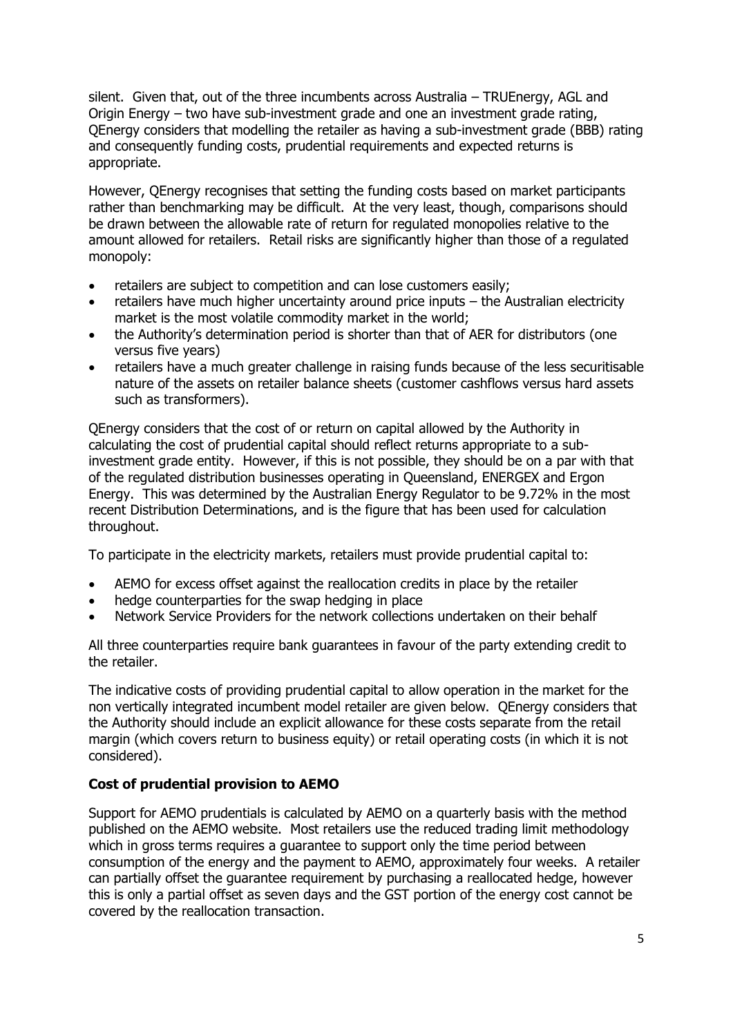silent. Given that, out of the three incumbents across Australia – TRUEnergy, AGL and Origin Energy – two have sub-investment grade and one an investment grade rating, QEnergy considers that modelling the retailer as having a sub-investment grade (BBB) rating and consequently funding costs, prudential requirements and expected returns is appropriate.

However, QEnergy recognises that setting the funding costs based on market participants rather than benchmarking may be difficult. At the very least, though, comparisons should be drawn between the allowable rate of return for regulated monopolies relative to the amount allowed for retailers. Retail risks are significantly higher than those of a regulated monopoly:

- retailers are subject to competition and can lose customers easily;
- retailers have much higher uncertainty around price inputs the Australian electricity market is the most volatile commodity market in the world;
- the Authority's determination period is shorter than that of AER for distributors (one versus five years)
- retailers have a much greater challenge in raising funds because of the less securitisable nature of the assets on retailer balance sheets (customer cashflows versus hard assets such as transformers).

QEnergy considers that the cost of or return on capital allowed by the Authority in calculating the cost of prudential capital should reflect returns appropriate to a subinvestment grade entity. However, if this is not possible, they should be on a par with that of the regulated distribution businesses operating in Queensland, ENERGEX and Ergon Energy. This was determined by the Australian Energy Regulator to be 9.72% in the most recent Distribution Determinations, and is the figure that has been used for calculation throughout.

To participate in the electricity markets, retailers must provide prudential capital to:

- AEMO for excess offset against the reallocation credits in place by the retailer
- hedge counterparties for the swap hedging in place
- Network Service Providers for the network collections undertaken on their behalf

All three counterparties require bank guarantees in favour of the party extending credit to the retailer.

The indicative costs of providing prudential capital to allow operation in the market for the non vertically integrated incumbent model retailer are given below. QEnergy considers that the Authority should include an explicit allowance for these costs separate from the retail margin (which covers return to business equity) or retail operating costs (in which it is not considered).

# **Cost of prudential provision to AEMO**

Support for AEMO prudentials is calculated by AEMO on a quarterly basis with the method published on the AEMO website. Most retailers use the reduced trading limit methodology which in gross terms requires a guarantee to support only the time period between consumption of the energy and the payment to AEMO, approximately four weeks. A retailer can partially offset the guarantee requirement by purchasing a reallocated hedge, however this is only a partial offset as seven days and the GST portion of the energy cost cannot be covered by the reallocation transaction.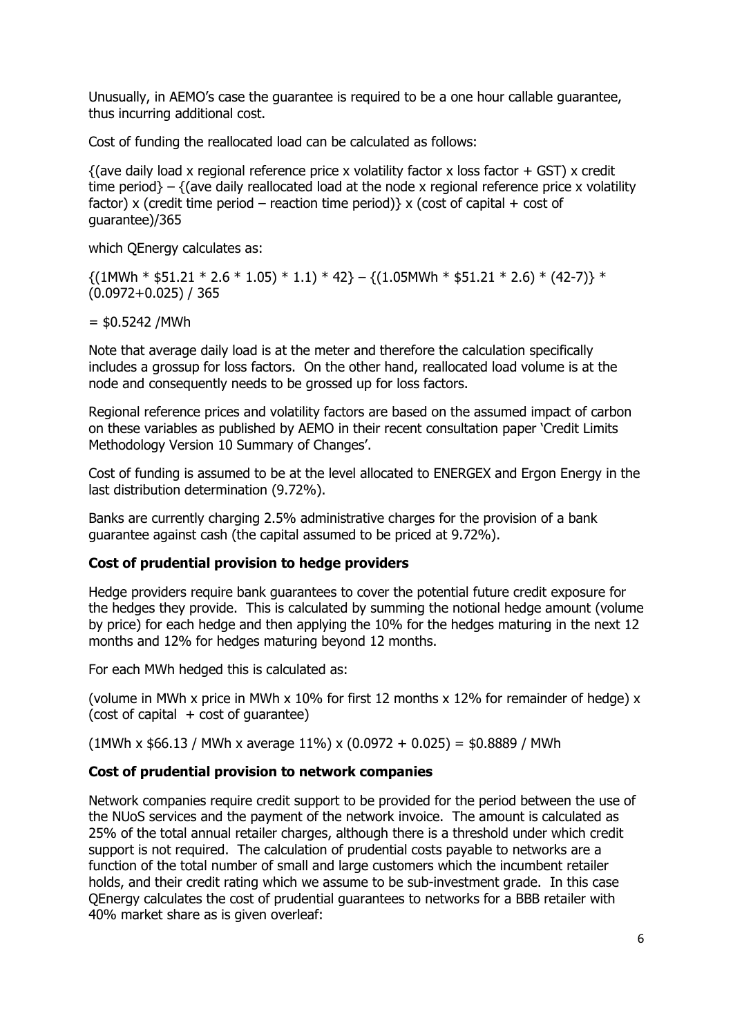Unusually, in AEMO's case the guarantee is required to be a one hour callable guarantee, thus incurring additional cost.

Cost of funding the reallocated load can be calculated as follows:

 $\{(a)$  daily load x regional reference price x volatility factor x loss factor + GST) x credit time period} – {(ave daily reallocated load at the node x regional reference price x volatility factor) x (credit time period – reaction time period) x (cost of capital + cost of guarantee)/365

which QEnergy calculates as:

 $\{(1\text{MWh} * $51.21 * 2.6 * 1.05) * 1.1) * 42\} - \{(1.05\text{MWh} * $51.21 * 2.6) * (42-7)\} *$ (0.0972+0.025) / 365

#### $=$  \$0.5242 /MWh

Note that average daily load is at the meter and therefore the calculation specifically includes a grossup for loss factors. On the other hand, reallocated load volume is at the node and consequently needs to be grossed up for loss factors.

Regional reference prices and volatility factors are based on the assumed impact of carbon on these variables as published by AEMO in their recent consultation paper 'Credit Limits Methodology Version 10 Summary of Changes'.

Cost of funding is assumed to be at the level allocated to ENERGEX and Ergon Energy in the last distribution determination (9.72%).

Banks are currently charging 2.5% administrative charges for the provision of a bank guarantee against cash (the capital assumed to be priced at 9.72%).

#### **Cost of prudential provision to hedge providers**

Hedge providers require bank guarantees to cover the potential future credit exposure for the hedges they provide. This is calculated by summing the notional hedge amount (volume by price) for each hedge and then applying the 10% for the hedges maturing in the next 12 months and 12% for hedges maturing beyond 12 months.

For each MWh hedged this is calculated as:

(volume in MWh x price in MWh x 10% for first 12 months x 12% for remainder of hedge) x  $(cost of capital + cost of guarantee)$ 

 $(1$ MWh x \$66.13 / MWh x average 11%) x  $(0.0972 + 0.025) = $0.8889$  / MWh

#### **Cost of prudential provision to network companies**

Network companies require credit support to be provided for the period between the use of the NUoS services and the payment of the network invoice. The amount is calculated as 25% of the total annual retailer charges, although there is a threshold under which credit support is not required. The calculation of prudential costs payable to networks are a function of the total number of small and large customers which the incumbent retailer holds, and their credit rating which we assume to be sub-investment grade. In this case QEnergy calculates the cost of prudential guarantees to networks for a BBB retailer with 40% market share as is given overleaf: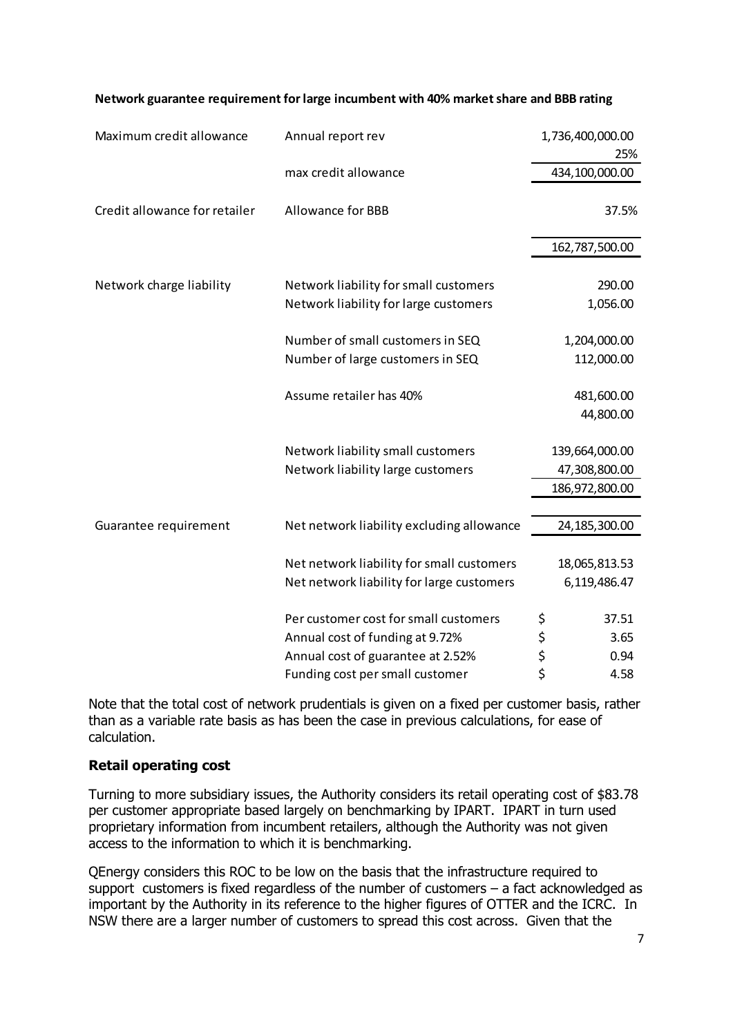| Maximum credit allowance      | Annual report rev                                                                                             | 1,736,400,000.00<br>25%                 |
|-------------------------------|---------------------------------------------------------------------------------------------------------------|-----------------------------------------|
|                               | max credit allowance                                                                                          | 434,100,000.00                          |
| Credit allowance for retailer | <b>Allowance for BBB</b>                                                                                      | 37.5%                                   |
|                               |                                                                                                               | 162,787,500.00                          |
| Network charge liability      | Network liability for small customers<br>Network liability for large customers                                | 290.00<br>1,056.00                      |
|                               | Number of small customers in SEQ                                                                              | 1,204,000.00                            |
|                               | Number of large customers in SEQ                                                                              | 112,000.00                              |
|                               | Assume retailer has 40%                                                                                       | 481,600.00<br>44,800.00                 |
|                               | Network liability small customers<br>Network liability large customers                                        | 139,664,000.00<br>47,308,800.00         |
|                               |                                                                                                               | 186,972,800.00                          |
| Guarantee requirement         | Net network liability excluding allowance                                                                     | 24, 185, 300.00                         |
|                               | Net network liability for small customers<br>Net network liability for large customers                        | 18,065,813.53<br>6,119,486.47           |
|                               | Per customer cost for small customers<br>Annual cost of funding at 9.72%<br>Annual cost of guarantee at 2.52% | \$<br>37.51<br>\$<br>3.65<br>\$<br>0.94 |
|                               | Funding cost per small customer                                                                               | \$<br>4.58                              |

#### **Network guarantee requirement for large incumbent with 40% market share and BBB rating**

Note that the total cost of network prudentials is given on a fixed per customer basis, rather than as a variable rate basis as has been the case in previous calculations, for ease of calculation.

#### **Retail operating cost**

Turning to more subsidiary issues, the Authority considers its retail operating cost of \$83.78 per customer appropriate based largely on benchmarking by IPART. IPART in turn used proprietary information from incumbent retailers, although the Authority was not given access to the information to which it is benchmarking.

QEnergy considers this ROC to be low on the basis that the infrastructure required to support customers is fixed regardless of the number of customers – a fact acknowledged as important by the Authority in its reference to the higher figures of OTTER and the ICRC. In NSW there are a larger number of customers to spread this cost across. Given that the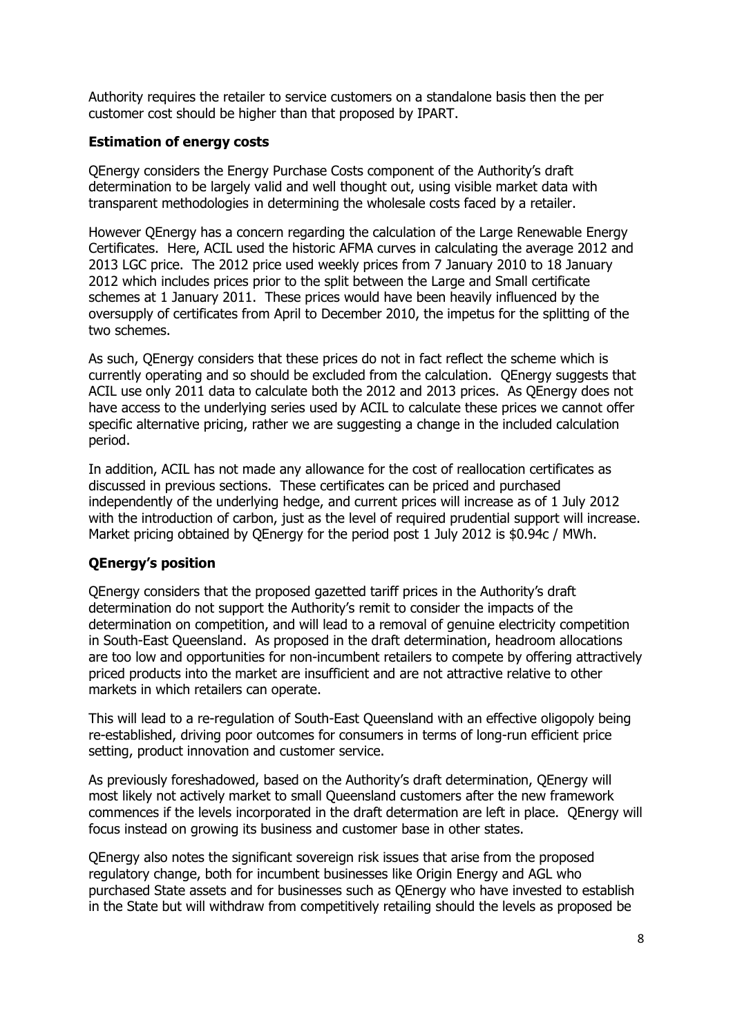Authority requires the retailer to service customers on a standalone basis then the per customer cost should be higher than that proposed by IPART.

## **Estimation of energy costs**

QEnergy considers the Energy Purchase Costs component of the Authority's draft determination to be largely valid and well thought out, using visible market data with transparent methodologies in determining the wholesale costs faced by a retailer.

However QEnergy has a concern regarding the calculation of the Large Renewable Energy Certificates. Here, ACIL used the historic AFMA curves in calculating the average 2012 and 2013 LGC price. The 2012 price used weekly prices from 7 January 2010 to 18 January 2012 which includes prices prior to the split between the Large and Small certificate schemes at 1 January 2011. These prices would have been heavily influenced by the oversupply of certificates from April to December 2010, the impetus for the splitting of the two schemes.

As such, QEnergy considers that these prices do not in fact reflect the scheme which is currently operating and so should be excluded from the calculation. QEnergy suggests that ACIL use only 2011 data to calculate both the 2012 and 2013 prices. As QEnergy does not have access to the underlying series used by ACIL to calculate these prices we cannot offer specific alternative pricing, rather we are suggesting a change in the included calculation period.

In addition, ACIL has not made any allowance for the cost of reallocation certificates as discussed in previous sections. These certificates can be priced and purchased independently of the underlying hedge, and current prices will increase as of 1 July 2012 with the introduction of carbon, just as the level of required prudential support will increase. Market pricing obtained by QEnergy for the period post 1 July 2012 is \$0.94c / MWh.

# **QEnergy's position**

QEnergy considers that the proposed gazetted tariff prices in the Authority's draft determination do not support the Authority's remit to consider the impacts of the determination on competition, and will lead to a removal of genuine electricity competition in South-East Queensland. As proposed in the draft determination, headroom allocations are too low and opportunities for non-incumbent retailers to compete by offering attractively priced products into the market are insufficient and are not attractive relative to other markets in which retailers can operate.

This will lead to a re-regulation of South-East Queensland with an effective oligopoly being re-established, driving poor outcomes for consumers in terms of long-run efficient price setting, product innovation and customer service.

As previously foreshadowed, based on the Authority's draft determination, QEnergy will most likely not actively market to small Queensland customers after the new framework commences if the levels incorporated in the draft determation are left in place. QEnergy will focus instead on growing its business and customer base in other states.

QEnergy also notes the significant sovereign risk issues that arise from the proposed regulatory change, both for incumbent businesses like Origin Energy and AGL who purchased State assets and for businesses such as QEnergy who have invested to establish in the State but will withdraw from competitively retailing should the levels as proposed be